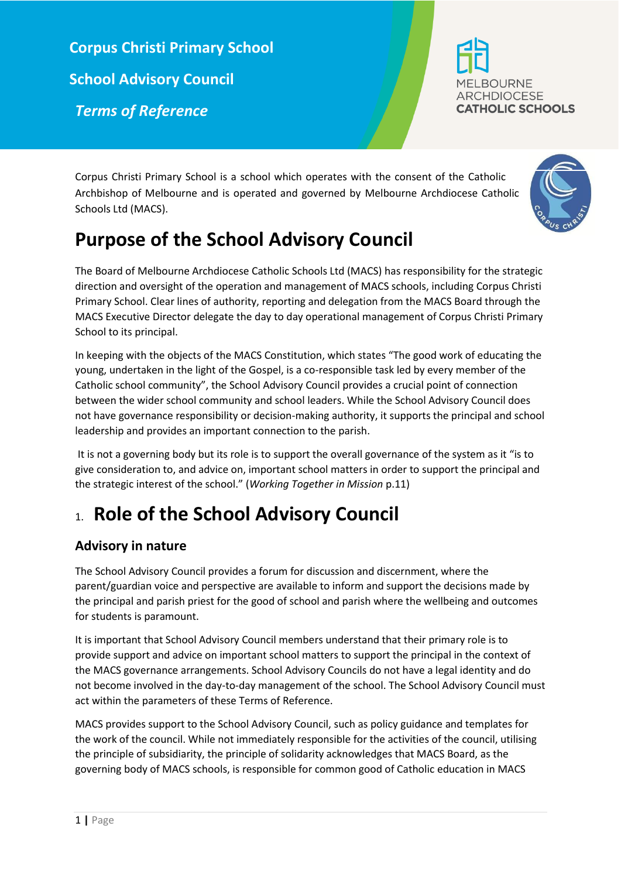**Corpus Christi Primary School School Advisory Council**  *Terms of Reference*



Corpus Christi Primary School is a school which operates with the consent of the Catholic Archbishop of Melbourne and is operated and governed by Melbourne Archdiocese Catholic Schools Ltd (MACS).



# **Purpose of the School Advisory Council**

The Board of Melbourne Archdiocese Catholic Schools Ltd (MACS) has responsibility for the strategic direction and oversight of the operation and management of MACS schools, including Corpus Christi Primary School. Clear lines of authority, reporting and delegation from the MACS Board through the MACS Executive Director delegate the day to day operational management of Corpus Christi Primary School to its principal.

In keeping with the objects of the MACS Constitution, which states "The good work of educating the young, undertaken in the light of the Gospel, is a co-responsible task led by every member of the Catholic school community", the School Advisory Council provides a crucial point of connection between the wider school community and school leaders. While the School Advisory Council does not have governance responsibility or decision-making authority, it supports the principal and school leadership and provides an important connection to the parish.

It is not a governing body but its role is to support the overall governance of the system as it "is to give consideration to, and advice on, important school matters in order to support the principal and the strategic interest of the school." (*Working Together in Mission* p.11)

# 1. **Role of the School Advisory Council**

## **Advisory in nature**

The School Advisory Council provides a forum for discussion and discernment, where the parent/guardian voice and perspective are available to inform and support the decisions made by the principal and parish priest for the good of school and parish where the wellbeing and outcomes for students is paramount.

It is important that School Advisory Council members understand that their primary role is to provide support and advice on important school matters to support the principal in the context of the MACS governance arrangements. School Advisory Councils do not have a legal identity and do not become involved in the day-to-day management of the school. The School Advisory Council must act within the parameters of these Terms of Reference.

MACS provides support to the School Advisory Council, such as policy guidance and templates for the work of the council. While not immediately responsible for the activities of the council, utilising the principle of subsidiarity, the principle of solidarity acknowledges that MACS Board, as the governing body of MACS schools, is responsible for common good of Catholic education in MACS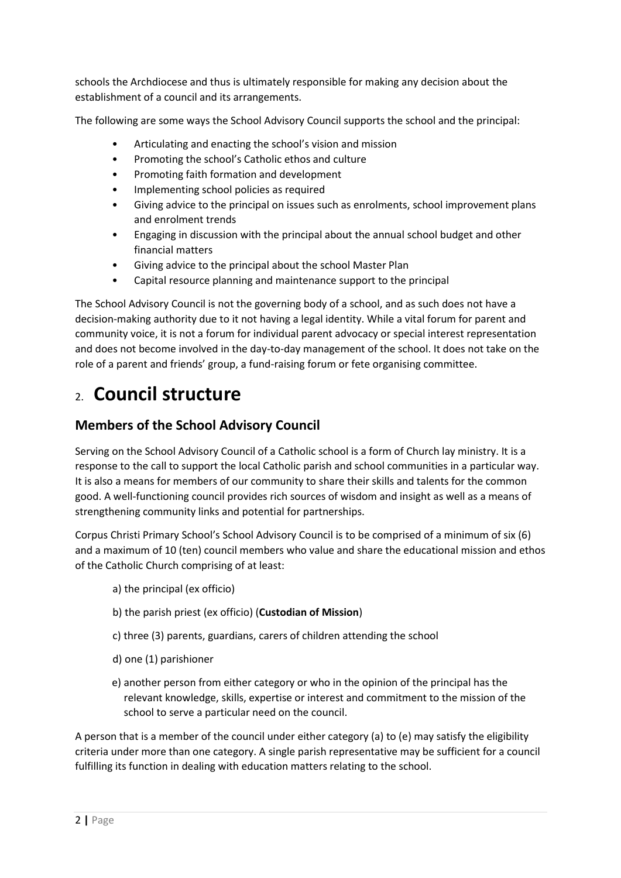schools the Archdiocese and thus is ultimately responsible for making any decision about the establishment of a council and its arrangements.

The following are some ways the School Advisory Council supports the school and the principal:

- Articulating and enacting the school's vision and mission
- Promoting the school's Catholic ethos and culture
- Promoting faith formation and development
- Implementing school policies as required
- Giving advice to the principal on issues such as enrolments, school improvement plans and enrolment trends
- Engaging in discussion with the principal about the annual school budget and other financial matters
- Giving advice to the principal about the school Master Plan
- Capital resource planning and maintenance support to the principal

The School Advisory Council is not the governing body of a school, and as such does not have a decision-making authority due to it not having a legal identity. While a vital forum for parent and community voice, it is not a forum for individual parent advocacy or special interest representation and does not become involved in the day-to-day management of the school. It does not take on the role of a parent and friends' group, a fund-raising forum or fete organising committee.

# 2. **Council structure**

### **Members of the School Advisory Council**

Serving on the School Advisory Council of a Catholic school is a form of Church lay ministry. It is a response to the call to support the local Catholic parish and school communities in a particular way. It is also a means for members of our community to share their skills and talents for the common good. A well-functioning council provides rich sources of wisdom and insight as well as a means of strengthening community links and potential for partnerships.

Corpus Christi Primary School's School Advisory Council is to be comprised of a minimum of six (6) and a maximum of 10 (ten) council members who value and share the educational mission and ethos of the Catholic Church comprising of at least:

- a) the principal (ex officio)
- b) the parish priest (ex officio) (**Custodian of Mission**)
- c) three (3) parents, guardians, carers of children attending the school
- d) one (1) parishioner
- e) another person from either category or who in the opinion of the principal has the relevant knowledge, skills, expertise or interest and commitment to the mission of the school to serve a particular need on the council.

A person that is a member of the council under either category (a) to (e) may satisfy the eligibility criteria under more than one category. A single parish representative may be sufficient for a council fulfilling its function in dealing with education matters relating to the school.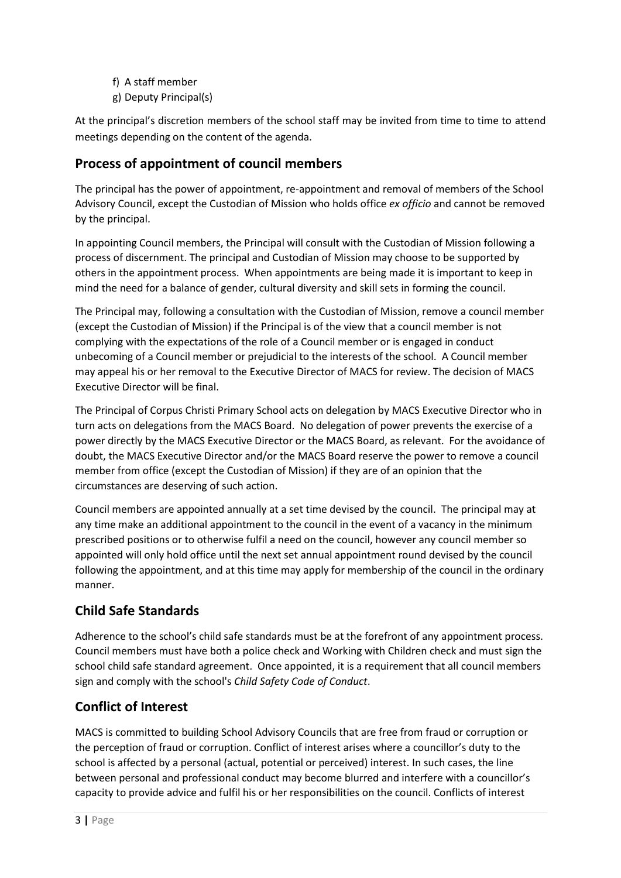f) A staff member g) Deputy Principal(s)

At the principal's discretion members of the school staff may be invited from time to time to attend meetings depending on the content of the agenda.

### **Process of appointment of council members**

The principal has the power of appointment, re-appointment and removal of members of the School Advisory Council, except the Custodian of Mission who holds office *ex officio* and cannot be removed by the principal.

In appointing Council members, the Principal will consult with the Custodian of Mission following a process of discernment. The principal and Custodian of Mission may choose to be supported by others in the appointment process. When appointments are being made it is important to keep in mind the need for a balance of gender, cultural diversity and skill sets in forming the council.

The Principal may, following a consultation with the Custodian of Mission, remove a council member (except the Custodian of Mission) if the Principal is of the view that a council member is not complying with the expectations of the role of a Council member or is engaged in conduct unbecoming of a Council member or prejudicial to the interests of the school. A Council member may appeal his or her removal to the Executive Director of MACS for review. The decision of MACS Executive Director will be final.

The Principal of Corpus Christi Primary School acts on delegation by MACS Executive Director who in turn acts on delegations from the MACS Board. No delegation of power prevents the exercise of a power directly by the MACS Executive Director or the MACS Board, as relevant. For the avoidance of doubt, the MACS Executive Director and/or the MACS Board reserve the power to remove a council member from office (except the Custodian of Mission) if they are of an opinion that the circumstances are deserving of such action.

Council members are appointed annually at a set time devised by the council. The principal may at any time make an additional appointment to the council in the event of a vacancy in the minimum prescribed positions or to otherwise fulfil a need on the council, however any council member so appointed will only hold office until the next set annual appointment round devised by the council following the appointment, and at this time may apply for membership of the council in the ordinary manner.

### **Child Safe Standards**

Adherence to the school's child safe standards must be at the forefront of any appointment process. Council members must have both a police check and Working with Children check and must sign the school child safe standard agreement. Once appointed, it is a requirement that all council members sign and comply with the school's *Child Safety Code of Conduct*.

### **Conflict of Interest**

MACS is committed to building School Advisory Councils that are free from fraud or corruption or the perception of fraud or corruption. Conflict of interest arises where a councillor's duty to the school is affected by a personal (actual, potential or perceived) interest. In such cases, the line between personal and professional conduct may become blurred and interfere with a councillor's capacity to provide advice and fulfil his or her responsibilities on the council. Conflicts of interest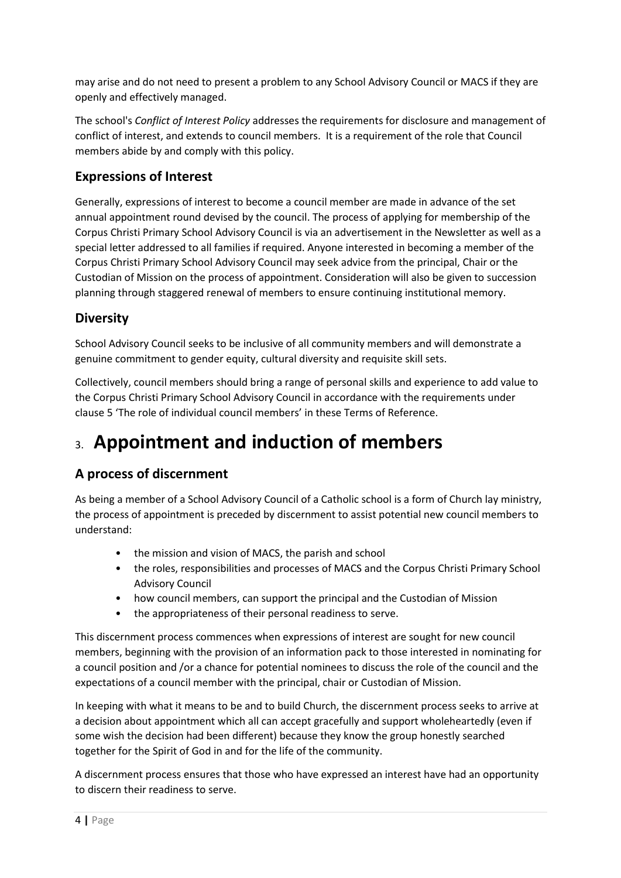may arise and do not need to present a problem to any School Advisory Council or MACS if they are openly and effectively managed.

The school's *Conflict of Interest Policy* addresses the requirements for disclosure and management of conflict of interest, and extends to council members. It is a requirement of the role that Council members abide by and comply with this policy.

### **Expressions of Interest**

Generally, expressions of interest to become a council member are made in advance of the set annual appointment round devised by the council. The process of applying for membership of the Corpus Christi Primary School Advisory Council is via an advertisement in the Newsletter as well as a special letter addressed to all families if required. Anyone interested in becoming a member of the Corpus Christi Primary School Advisory Council may seek advice from the principal, Chair or the Custodian of Mission on the process of appointment. Consideration will also be given to succession planning through staggered renewal of members to ensure continuing institutional memory.

### **Diversity**

School Advisory Council seeks to be inclusive of all community members and will demonstrate a genuine commitment to gender equity, cultural diversity and requisite skill sets.

Collectively, council members should bring a range of personal skills and experience to add value to the Corpus Christi Primary School Advisory Council in accordance with the requirements under clause 5 'The role of individual council members' in these Terms of Reference.

# 3. **Appointment and induction of members**

### **A process of discernment**

As being a member of a School Advisory Council of a Catholic school is a form of Church lay ministry, the process of appointment is preceded by discernment to assist potential new council members to understand:

- the mission and vision of MACS, the parish and school
- the roles, responsibilities and processes of MACS and the Corpus Christi Primary School Advisory Council
- how council members, can support the principal and the Custodian of Mission
- the appropriateness of their personal readiness to serve.

This discernment process commences when expressions of interest are sought for new council members, beginning with the provision of an information pack to those interested in nominating for a council position and /or a chance for potential nominees to discuss the role of the council and the expectations of a council member with the principal, chair or Custodian of Mission.

In keeping with what it means to be and to build Church, the discernment process seeks to arrive at a decision about appointment which all can accept gracefully and support wholeheartedly (even if some wish the decision had been different) because they know the group honestly searched together for the Spirit of God in and for the life of the community.

A discernment process ensures that those who have expressed an interest have had an opportunity to discern their readiness to serve.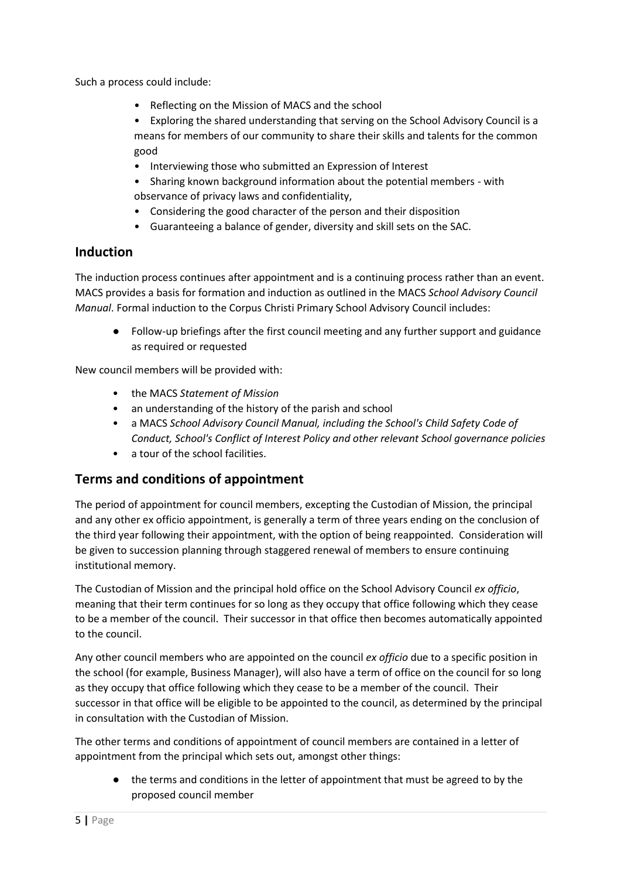Such a process could include:

- Reflecting on the Mission of MACS and the school
- Exploring the shared understanding that serving on the School Advisory Council is a means for members of our community to share their skills and talents for the common good
- Interviewing those who submitted an Expression of Interest
- Sharing known background information about the potential members with observance of privacy laws and confidentiality,
- Considering the good character of the person and their disposition
- Guaranteeing a balance of gender, diversity and skill sets on the SAC.

#### **Induction**

The induction process continues after appointment and is a continuing process rather than an event. MACS provides a basis for formation and induction as outlined in the MACS *School Advisory Council Manual*. Formal induction to the Corpus Christi Primary School Advisory Council includes:

● Follow-up briefings after the first council meeting and any further support and guidance as required or requested

New council members will be provided with:

- the MACS *Statement of Mission*
- an understanding of the history of the parish and school
- a MACS *School Advisory Council Manual, including the School's Child Safety Code of Conduct, School's Conflict of Interest Policy and other relevant School governance policies*
- a tour of the school facilities.

#### **Terms and conditions of appointment**

The period of appointment for council members, excepting the Custodian of Mission, the principal and any other ex officio appointment, is generally a term of three years ending on the conclusion of the third year following their appointment, with the option of being reappointed. Consideration will be given to succession planning through staggered renewal of members to ensure continuing institutional memory.

The Custodian of Mission and the principal hold office on the School Advisory Council *ex officio*, meaning that their term continues for so long as they occupy that office following which they cease to be a member of the council. Their successor in that office then becomes automatically appointed to the council.

Any other council members who are appointed on the council *ex officio* due to a specific position in the school (for example, Business Manager), will also have a term of office on the council for so long as they occupy that office following which they cease to be a member of the council. Their successor in that office will be eligible to be appointed to the council, as determined by the principal in consultation with the Custodian of Mission.

The other terms and conditions of appointment of council members are contained in a letter of appointment from the principal which sets out, amongst other things:

● the terms and conditions in the letter of appointment that must be agreed to by the proposed council member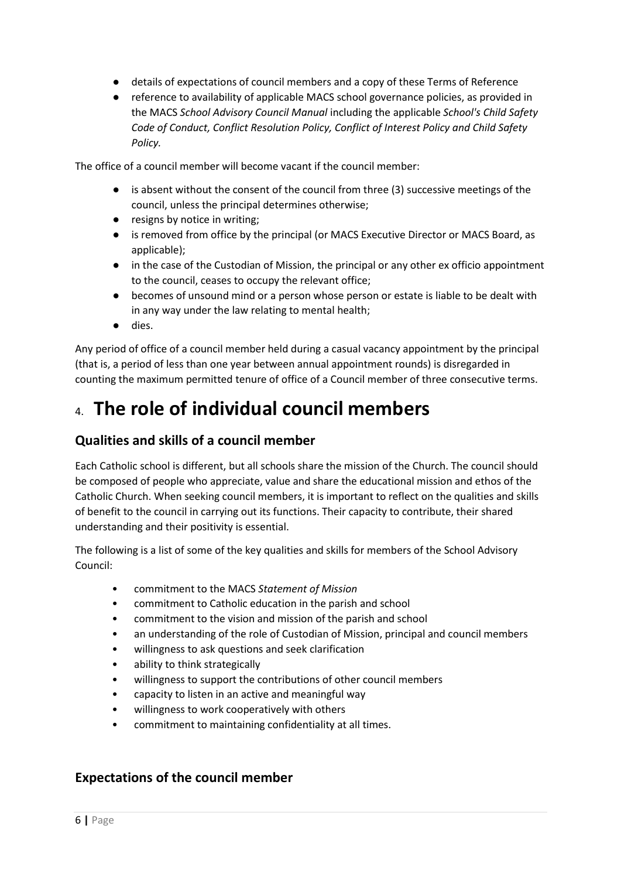- details of expectations of council members and a copy of these Terms of Reference
- reference to availability of applicable MACS school governance policies, as provided in the MACS *School Advisory Council Manual* including the applicable *School's Child Safety Code of Conduct, Conflict Resolution Policy, Conflict of Interest Policy and Child Safety Policy.*

The office of a council member will become vacant if the council member:

- is absent without the consent of the council from three (3) successive meetings of the council, unless the principal determines otherwise;
- resigns by notice in writing;
- is removed from office by the principal (or MACS Executive Director or MACS Board, as applicable);
- in the case of the Custodian of Mission, the principal or any other ex officio appointment to the council, ceases to occupy the relevant office;
- becomes of unsound mind or a person whose person or estate is liable to be dealt with in any way under the law relating to mental health;
- dies.

Any period of office of a council member held during a casual vacancy appointment by the principal (that is, a period of less than one year between annual appointment rounds) is disregarded in counting the maximum permitted tenure of office of a Council member of three consecutive terms.

# 4. **The role of individual council members**

#### **Qualities and skills of a council member**

Each Catholic school is different, but all schools share the mission of the Church. The council should be composed of people who appreciate, value and share the educational mission and ethos of the Catholic Church. When seeking council members, it is important to reflect on the qualities and skills of benefit to the council in carrying out its functions. Their capacity to contribute, their shared understanding and their positivity is essential.

The following is a list of some of the key qualities and skills for members of the School Advisory Council:

- commitment to the MACS *Statement of Mission*
- commitment to Catholic education in the parish and school
- commitment to the vision and mission of the parish and school
- an understanding of the role of Custodian of Mission, principal and council members
- willingness to ask questions and seek clarification
- ability to think strategically
- willingness to support the contributions of other council members
- capacity to listen in an active and meaningful way
- willingness to work cooperatively with others
- commitment to maintaining confidentiality at all times.

#### **Expectations of the council member**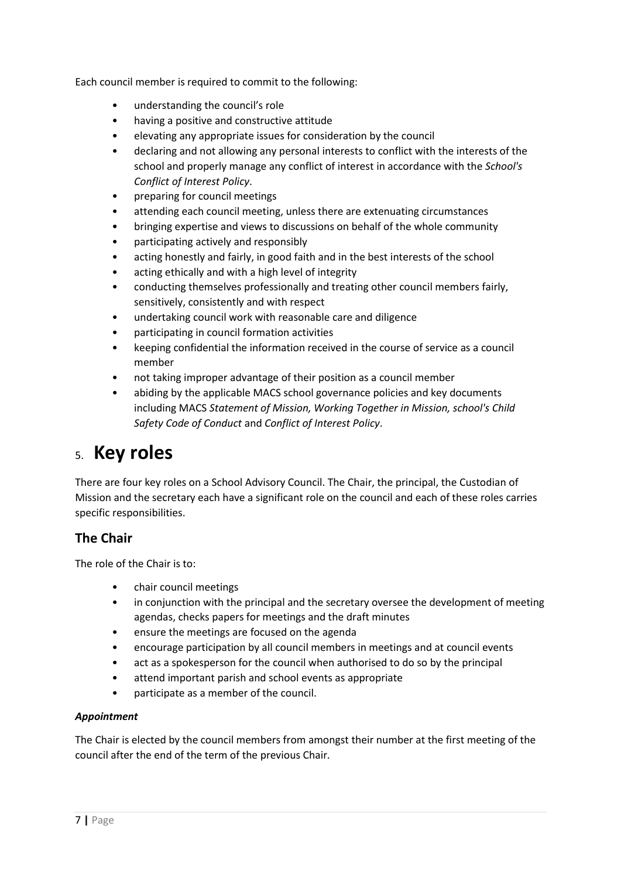Each council member is required to commit to the following:

- understanding the council's role
- having a positive and constructive attitude
- elevating any appropriate issues for consideration by the council
- declaring and not allowing any personal interests to conflict with the interests of the school and properly manage any conflict of interest in accordance with the *School's Conflict of Interest Policy*.
- preparing for council meetings
- attending each council meeting, unless there are extenuating circumstances
- bringing expertise and views to discussions on behalf of the whole community
- participating actively and responsibly
- acting honestly and fairly, in good faith and in the best interests of the school
- acting ethically and with a high level of integrity
- conducting themselves professionally and treating other council members fairly, sensitively, consistently and with respect
- undertaking council work with reasonable care and diligence
- participating in council formation activities
- keeping confidential the information received in the course of service as a council member
- not taking improper advantage of their position as a council member
- abiding by the applicable MACS school governance policies and key documents including MACS *Statement of Mission, Working Together in Mission, school's Child Safety Code of Conduct* and *Conflict of Interest Policy*.

# 5. **Key roles**

There are four key roles on a School Advisory Council. The Chair, the principal, the Custodian of Mission and the secretary each have a significant role on the council and each of these roles carries specific responsibilities.

### **The Chair**

The role of the Chair is to:

- chair council meetings
- in conjunction with the principal and the secretary oversee the development of meeting agendas, checks papers for meetings and the draft minutes
- ensure the meetings are focused on the agenda
- encourage participation by all council members in meetings and at council events
- act as a spokesperson for the council when authorised to do so by the principal
- attend important parish and school events as appropriate
- participate as a member of the council.

#### *Appointment*

The Chair is elected by the council members from amongst their number at the first meeting of the council after the end of the term of the previous Chair.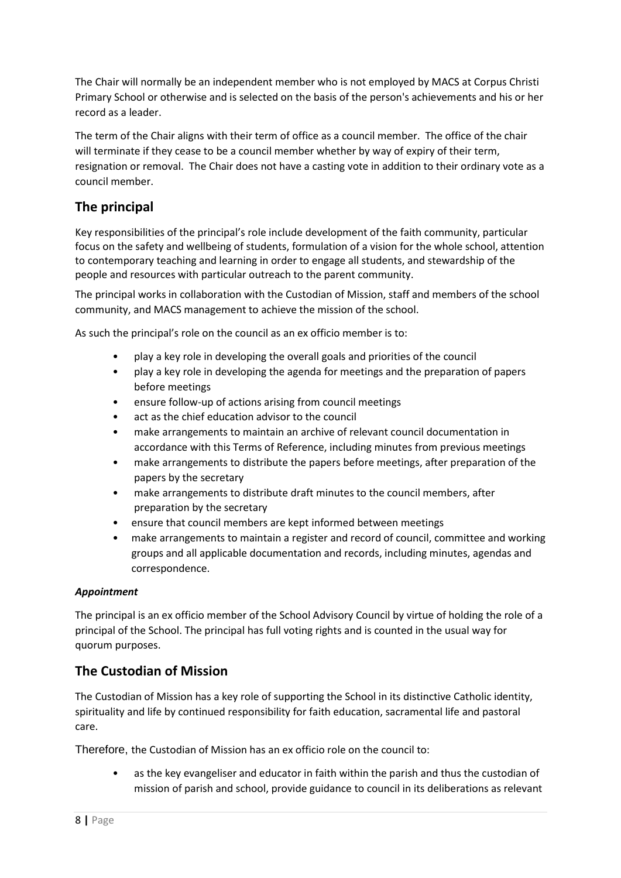The Chair will normally be an independent member who is not employed by MACS at Corpus Christi Primary School or otherwise and is selected on the basis of the person's achievements and his or her record as a leader.

The term of the Chair aligns with their term of office as a council member. The office of the chair will terminate if they cease to be a council member whether by way of expiry of their term, resignation or removal. The Chair does not have a casting vote in addition to their ordinary vote as a council member.

### **The principal**

Key responsibilities of the principal's role include development of the faith community, particular focus on the safety and wellbeing of students, formulation of a vision for the whole school, attention to contemporary teaching and learning in order to engage all students, and stewardship of the people and resources with particular outreach to the parent community.

The principal works in collaboration with the Custodian of Mission, staff and members of the school community, and MACS management to achieve the mission of the school.

As such the principal's role on the council as an ex officio member is to:

- play a key role in developing the overall goals and priorities of the council
- play a key role in developing the agenda for meetings and the preparation of papers before meetings
- ensure follow-up of actions arising from council meetings
- act as the chief education advisor to the council
- make arrangements to maintain an archive of relevant council documentation in accordance with this Terms of Reference, including minutes from previous meetings
- make arrangements to distribute the papers before meetings, after preparation of the papers by the secretary
- make arrangements to distribute draft minutes to the council members, after preparation by the secretary
- ensure that council members are kept informed between meetings
- make arrangements to maintain a register and record of council, committee and working groups and all applicable documentation and records, including minutes, agendas and correspondence.

#### *Appointment*

The principal is an ex officio member of the School Advisory Council by virtue of holding the role of a principal of the School. The principal has full voting rights and is counted in the usual way for quorum purposes.

#### **The Custodian of Mission**

The Custodian of Mission has a key role of supporting the School in its distinctive Catholic identity, spirituality and life by continued responsibility for faith education, sacramental life and pastoral care.

Therefore, the Custodian of Mission has an ex officio role on the council to:

• as the key evangeliser and educator in faith within the parish and thus the custodian of mission of parish and school, provide guidance to council in its deliberations as relevant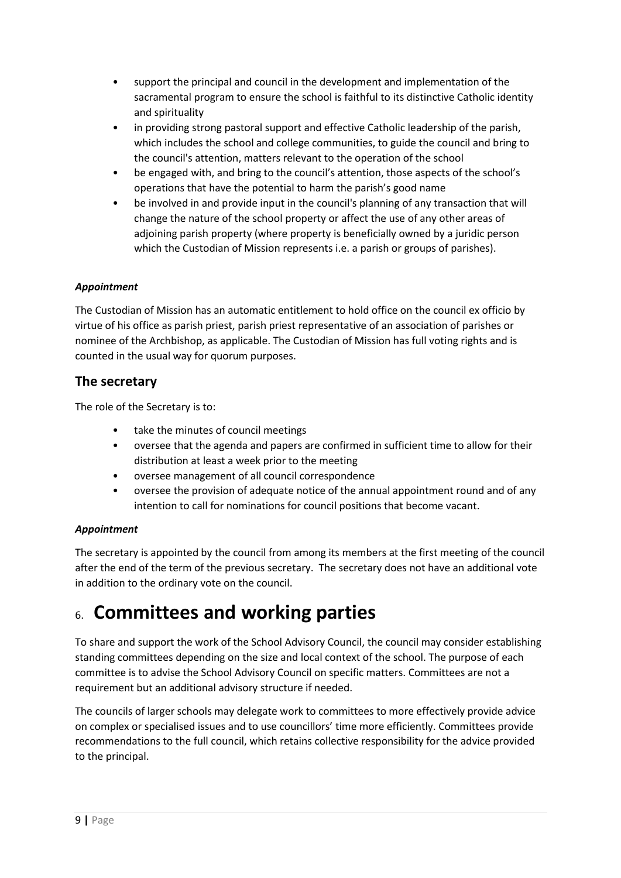- support the principal and council in the development and implementation of the sacramental program to ensure the school is faithful to its distinctive Catholic identity and spirituality
- in providing strong pastoral support and effective Catholic leadership of the parish, which includes the school and college communities, to guide the council and bring to the council's attention, matters relevant to the operation of the school
- be engaged with, and bring to the council's attention, those aspects of the school's operations that have the potential to harm the parish's good name
- be involved in and provide input in the council's planning of any transaction that will change the nature of the school property or affect the use of any other areas of adjoining parish property (where property is beneficially owned by a juridic person which the Custodian of Mission represents i.e. a parish or groups of parishes).

#### *Appointment*

The Custodian of Mission has an automatic entitlement to hold office on the council ex officio by virtue of his office as parish priest, parish priest representative of an association of parishes or nominee of the Archbishop, as applicable. The Custodian of Mission has full voting rights and is counted in the usual way for quorum purposes.

#### **The secretary**

The role of the Secretary is to:

- take the minutes of council meetings
- oversee that the agenda and papers are confirmed in sufficient time to allow for their distribution at least a week prior to the meeting
- oversee management of all council correspondence
- oversee the provision of adequate notice of the annual appointment round and of any intention to call for nominations for council positions that become vacant.

#### *Appointment*

The secretary is appointed by the council from among its members at the first meeting of the council after the end of the term of the previous secretary. The secretary does not have an additional vote in addition to the ordinary vote on the council.

# 6. **Committees and working parties**

To share and support the work of the School Advisory Council, the council may consider establishing standing committees depending on the size and local context of the school. The purpose of each committee is to advise the School Advisory Council on specific matters. Committees are not a requirement but an additional advisory structure if needed.

The councils of larger schools may delegate work to committees to more effectively provide advice on complex or specialised issues and to use councillors' time more efficiently. Committees provide recommendations to the full council, which retains collective responsibility for the advice provided to the principal.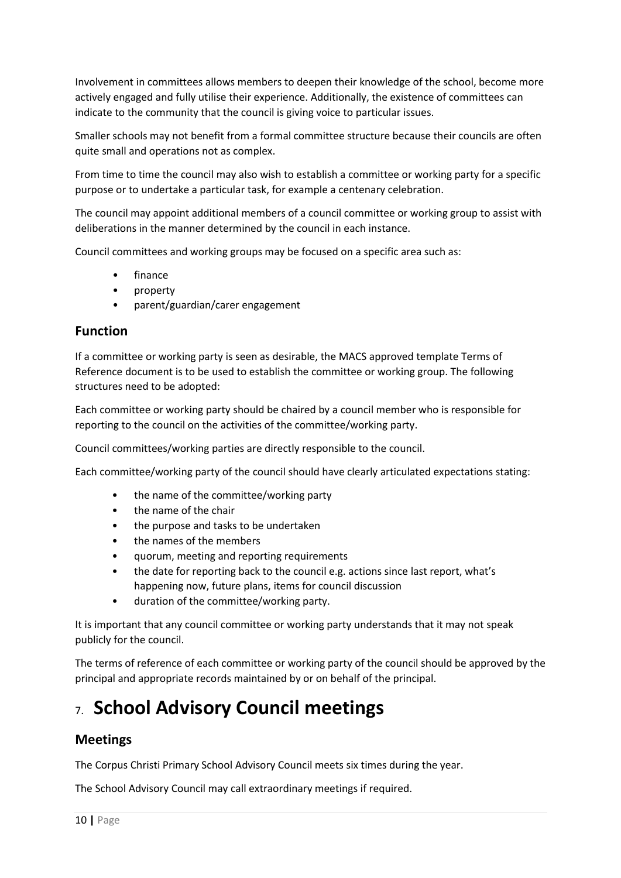Involvement in committees allows members to deepen their knowledge of the school, become more actively engaged and fully utilise their experience. Additionally, the existence of committees can indicate to the community that the council is giving voice to particular issues.

Smaller schools may not benefit from a formal committee structure because their councils are often quite small and operations not as complex.

From time to time the council may also wish to establish a committee or working party for a specific purpose or to undertake a particular task, for example a centenary celebration.

The council may appoint additional members of a council committee or working group to assist with deliberations in the manner determined by the council in each instance.

Council committees and working groups may be focused on a specific area such as:

- finance
- property
- parent/guardian/carer engagement

#### **Function**

If a committee or working party is seen as desirable, the MACS approved template Terms of Reference document is to be used to establish the committee or working group. The following structures need to be adopted:

Each committee or working party should be chaired by a council member who is responsible for reporting to the council on the activities of the committee/working party.

Council committees/working parties are directly responsible to the council.

Each committee/working party of the council should have clearly articulated expectations stating:

- the name of the committee/working party
- the name of the chair
- the purpose and tasks to be undertaken
- the names of the members
- quorum, meeting and reporting requirements
- the date for reporting back to the council e.g. actions since last report, what's happening now, future plans, items for council discussion
- duration of the committee/working party.

It is important that any council committee or working party understands that it may not speak publicly for the council.

The terms of reference of each committee or working party of the council should be approved by the principal and appropriate records maintained by or on behalf of the principal.

# 7. **School Advisory Council meetings**

#### **Meetings**

The Corpus Christi Primary School Advisory Council meets six times during the year.

The School Advisory Council may call extraordinary meetings if required.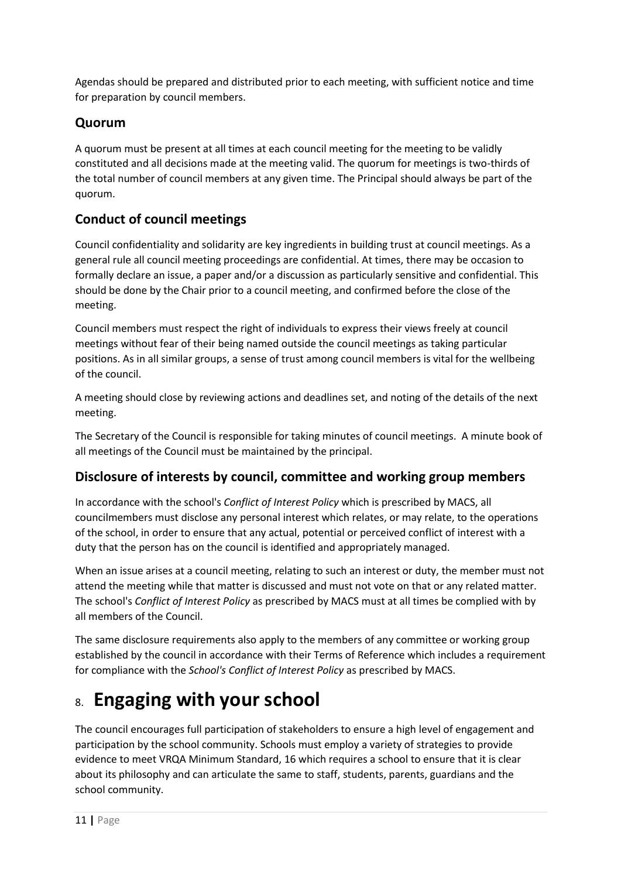Agendas should be prepared and distributed prior to each meeting, with sufficient notice and time for preparation by council members.

### **Quorum**

A quorum must be present at all times at each council meeting for the meeting to be validly constituted and all decisions made at the meeting valid. The quorum for meetings is two-thirds of the total number of council members at any given time. The Principal should always be part of the quorum.

## **Conduct of council meetings**

Council confidentiality and solidarity are key ingredients in building trust at council meetings. As a general rule all council meeting proceedings are confidential. At times, there may be occasion to formally declare an issue, a paper and/or a discussion as particularly sensitive and confidential. This should be done by the Chair prior to a council meeting, and confirmed before the close of the meeting.

Council members must respect the right of individuals to express their views freely at council meetings without fear of their being named outside the council meetings as taking particular positions. As in all similar groups, a sense of trust among council members is vital for the wellbeing of the council.

A meeting should close by reviewing actions and deadlines set, and noting of the details of the next meeting.

The Secretary of the Council is responsible for taking minutes of council meetings. A minute book of all meetings of the Council must be maintained by the principal.

### **Disclosure of interests by council, committee and working group members**

In accordance with the school's *Conflict of Interest Policy* which is prescribed by MACS, all councilmembers must disclose any personal interest which relates, or may relate, to the operations of the school, in order to ensure that any actual, potential or perceived conflict of interest with a duty that the person has on the council is identified and appropriately managed.

When an issue arises at a council meeting, relating to such an interest or duty, the member must not attend the meeting while that matter is discussed and must not vote on that or any related matter. The school's *Conflict of Interest Policy* as prescribed by MACS must at all times be complied with by all members of the Council.

The same disclosure requirements also apply to the members of any committee or working group established by the council in accordance with their Terms of Reference which includes a requirement for compliance with the *School's Conflict of Interest Policy* as prescribed by MACS.

# 8. **Engaging with your school**

The council encourages full participation of stakeholders to ensure a high level of engagement and participation by the school community. Schools must employ a variety of strategies to provide evidence to meet VRQA Minimum Standard, 16 which requires a school to ensure that it is clear about its philosophy and can articulate the same to staff, students, parents, guardians and the school community.